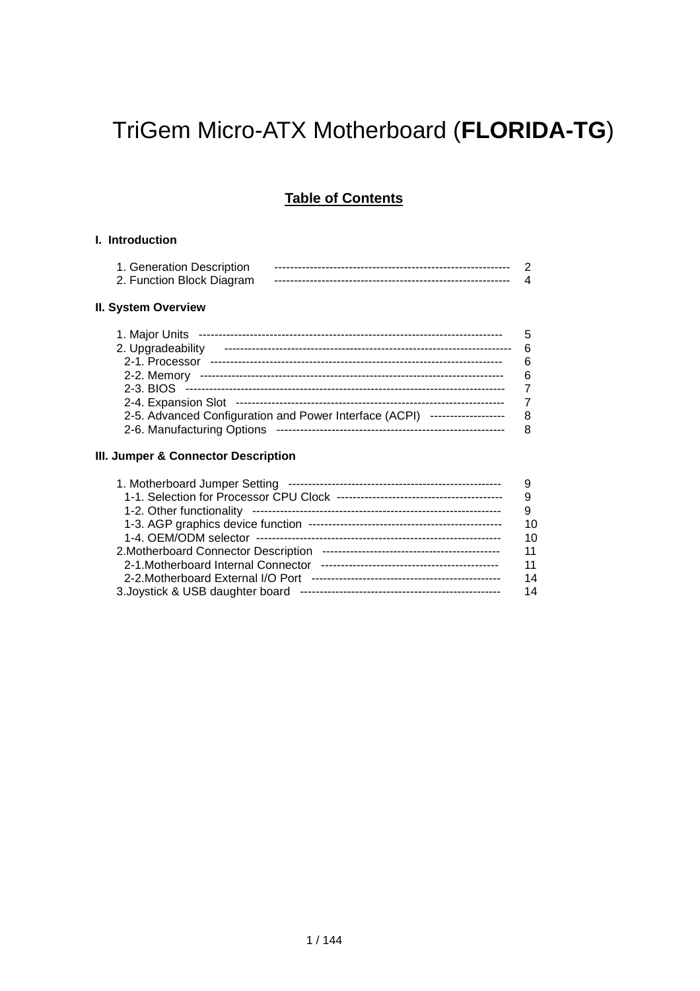# TriGem Micro-ATX Motherboard (**FLORIDA-TG**)

# **Table of Contents**

### **I. Introduction**

| 1. Generation Description |  |
|---------------------------|--|
| 2. Function Block Diagram |  |

### **II. System Overview**

| 1. Major Units                                                                | 5  |
|-------------------------------------------------------------------------------|----|
|                                                                               | ิธ |
| 2. Upgradeability                                                             |    |
| 2-1. Processor                                                                | 6  |
| 2-2. Memory                                                                   | 6  |
|                                                                               |    |
|                                                                               |    |
| 2-5. Advanced Configuration and Power Interface (ACPI)<br>------------------- | 8  |
| 2-6. Manufacturing Options                                                    |    |

### **III. Jumper & Connector Description**

|                                     | 9  |
|-------------------------------------|----|
|                                     | 9  |
|                                     | 10 |
|                                     | 10 |
|                                     | 11 |
| 2-1. Motherboard Internal Connector | 11 |
| 2-2. Motherboard External I/O Port  | 14 |
|                                     | 14 |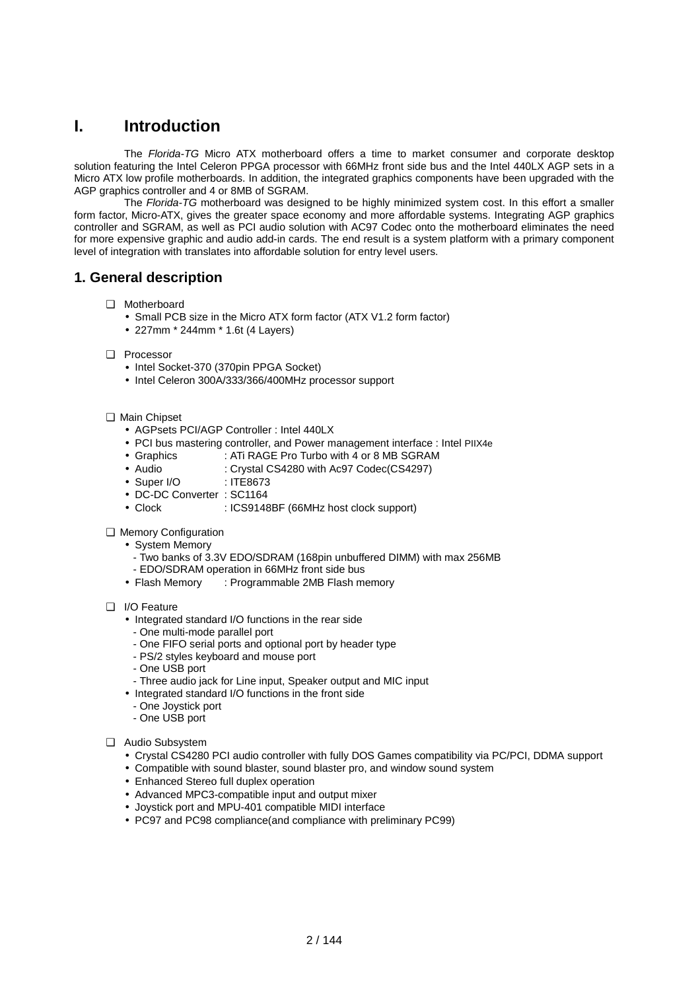# **I. Introduction**

The *Florida-TG* Micro ATX motherboard offers a time to market consumer and corporate desktop solution featuring the Intel Celeron PPGA processor with 66MHz front side bus and the Intel 440LX AGP sets in a Micro ATX low profile motherboards. In addition, the integrated graphics components have been upgraded with the AGP graphics controller and 4 or 8MB of SGRAM.

The *Florida-TG* motherboard was designed to be highly minimized system cost. In this effort a smaller form factor, Micro-ATX, gives the greater space economy and more affordable systems. Integrating AGP graphics controller and SGRAM, as well as PCI audio solution with AC97 Codec onto the motherboard eliminates the need for more expensive graphic and audio add-in cards. The end result is a system platform with a primary component level of integration with translates into affordable solution for entry level users.

### **1. General description**

- ❑ Motherboard
	- Small PCB size in the Micro ATX form factor (ATX V1.2 form factor)
	- 227mm \* 244mm \* 1.6t (4 Layers)
- ❑ Processor
	- Intel Socket-370 (370pin PPGA Socket)
	- Intel Celeron 300A/333/366/400MHz processor support
- ❑ Main Chipset
	- AGPsets PCI/AGP Controller : Intel 440LX
	- PCI bus mastering controller, and Power management interface : Intel PIIX4e
	- Graphics : ATi RAGE Pro Turbo with 4 or 8 MB SGRAM
	- Audio : Crystal CS4280 with Ac97 Codec(CS4297)
	- Super I/O : ITE8673
	- DC-DC Converter : SC1164
	- Clock : ICS9148BF (66MHz host clock support)
- ❑ Memory Configuration
	- System Memory
		- Two banks of 3.3V EDO/SDRAM (168pin unbuffered DIMM) with max 256MB
		- EDO/SDRAM operation in 66MHz front side bus
	- Flash Memory : Programmable 2MB Flash memory
- ❑ I/O Feature
	- Integrated standard I/O functions in the rear side
	- One multi-mode parallel port
	- One FIFO serial ports and optional port by header type
	- PS/2 styles keyboard and mouse port
	- One USB port
	- Three audio jack for Line input, Speaker output and MIC input
	- Integrated standard I/O functions in the front side
	- One Joystick port
	- One USB port
- ❑ Audio Subsystem
	- Crystal CS4280 PCI audio controller with fully DOS Games compatibility via PC/PCI, DDMA support
	- Compatible with sound blaster, sound blaster pro, and window sound system
	- Enhanced Stereo full duplex operation
	- Advanced MPC3-compatible input and output mixer
	- Joystick port and MPU-401 compatible MIDI interface
	- PC97 and PC98 compliance(and compliance with preliminary PC99)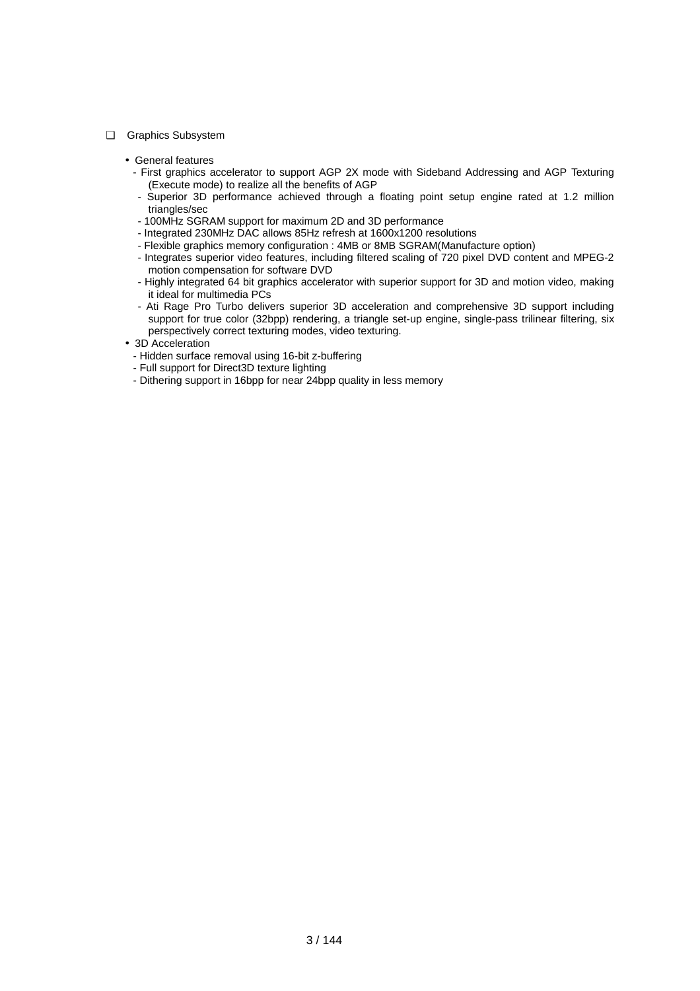- ❑ Graphics Subsystem
	- General features
		- First graphics accelerator to support AGP 2X mode with Sideband Addressing and AGP Texturing (Execute mode) to realize all the benefits of AGP
		- Superior 3D performance achieved through a floating point setup engine rated at 1.2 million triangles/sec
		- 100MHz SGRAM support for maximum 2D and 3D performance
		- Integrated 230MHz DAC allows 85Hz refresh at 1600x1200 resolutions
		- Flexible graphics memory configuration : 4MB or 8MB SGRAM(Manufacture option)
		- Integrates superior video features, including filtered scaling of 720 pixel DVD content and MPEG-2 motion compensation for software DVD
		- Highly integrated 64 bit graphics accelerator with superior support for 3D and motion video, making it ideal for multimedia PCs
		- Ati Rage Pro Turbo delivers superior 3D acceleration and comprehensive 3D support including support for true color (32bpp) rendering, a triangle set-up engine, single-pass trilinear filtering, six perspectively correct texturing modes, video texturing.
	- 3D Acceleration
		- Hidden surface removal using 16-bit z-buffering
		- Full support for Direct3D texture lighting
		- Dithering support in 16bpp for near 24bpp quality in less memory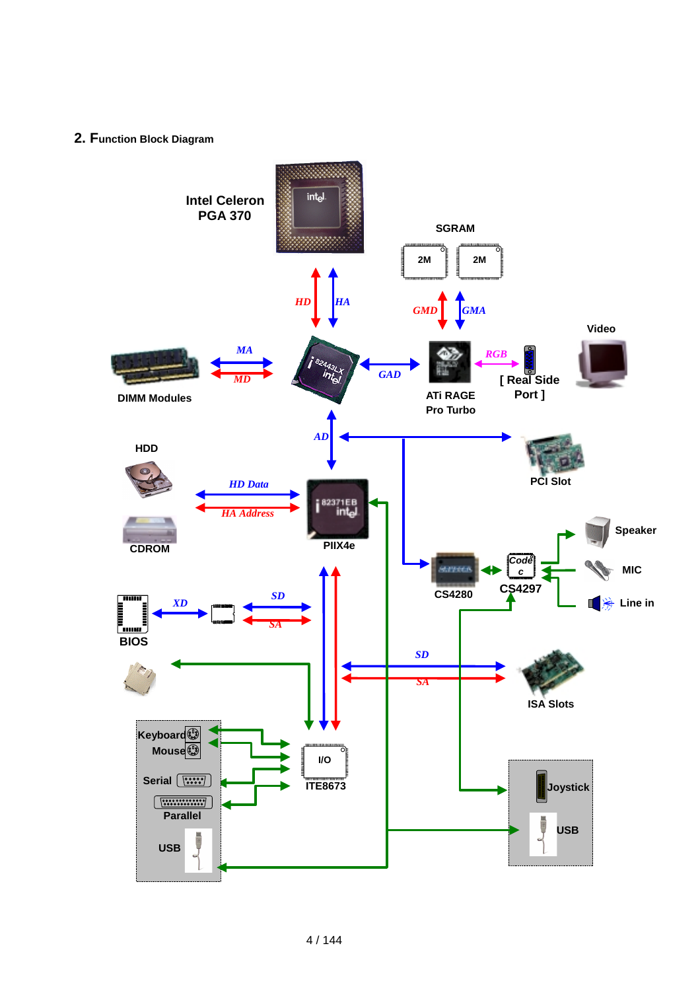### **2. Function Block Diagram**

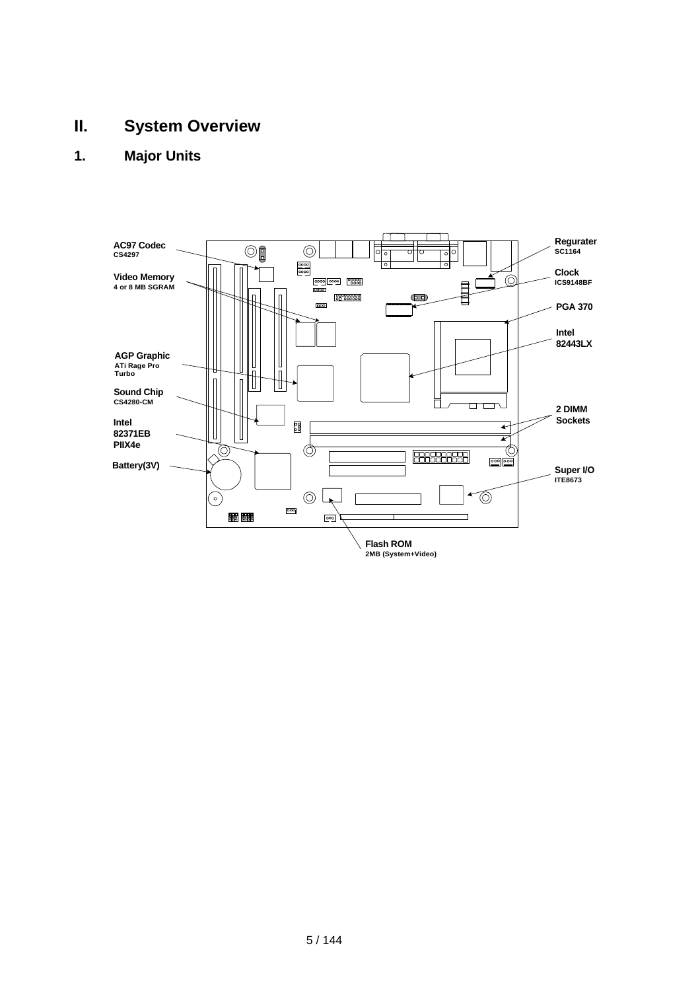# **II. System Overview**

# **1. Major Units**

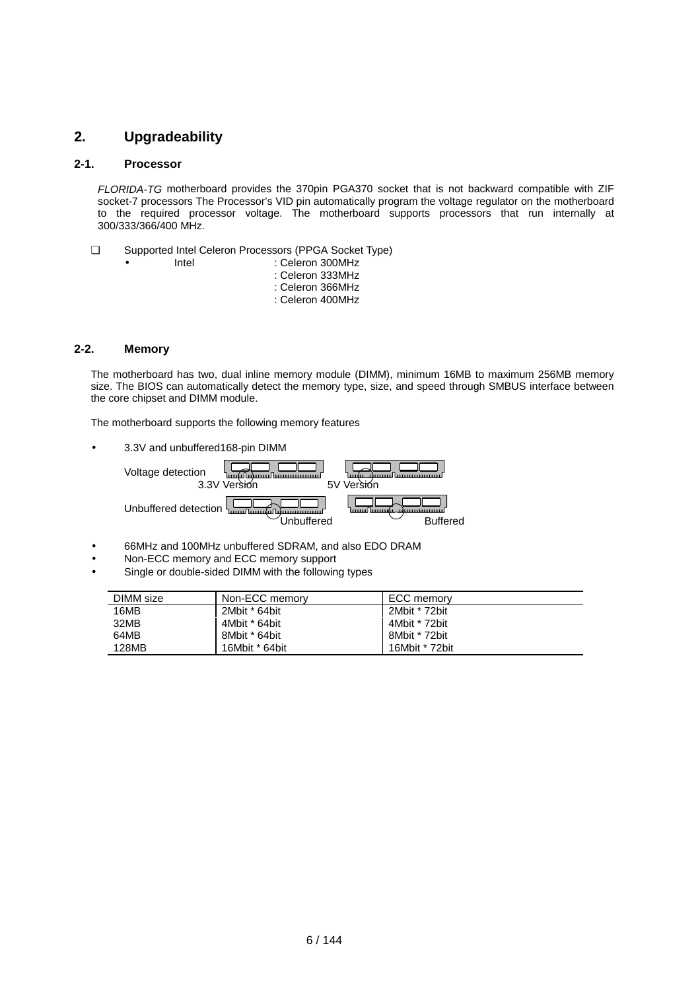### **2. Upgradeability**

### **2-1. Processor**

*FLORIDA-TG* motherboard provides the 370pin PGA370 socket that is not backward compatible with ZIF socket-7 processors The Processor's VID pin automatically program the voltage regulator on the motherboard to the required processor voltage. The motherboard supports processors that run internally at 300/333/366/400 MHz.

- ❑ Supported Intel Celeron Processors (PPGA Socket Type)
	-
- Intel : Celeron 300MHz : Celeron 333MHz : Celeron 366MHz
	- : Celeron 400MHz

### **2-2. Memory**

The motherboard has two, dual inline memory module (DIMM), minimum 16MB to maximum 256MB memory size. The BIOS can automatically detect the memory type, size, and speed through SMBUS interface between the core chipset and DIMM module.

The motherboard supports the following memory features

• 3.3V and unbuffered168-pin DIMM



- 66MHz and 100MHz unbuffered SDRAM, and also EDO DRAM
- Non-ECC memory and ECC memory support
- Single or double-sided DIMM with the following types

| DIMM size | Non-ECC memory | ECC memorv     |
|-----------|----------------|----------------|
| 16MB      | 2Mbit * 64bit  | 2Mbit * 72bit  |
| 32MB      | 4Mbit * 64bit  | 4Mbit * 72bit  |
| 64MB      | 8Mbit * 64bit  | 8Mbit * 72bit  |
| 128MB     | 16Mbit * 64bit | 16Mbit * 72bit |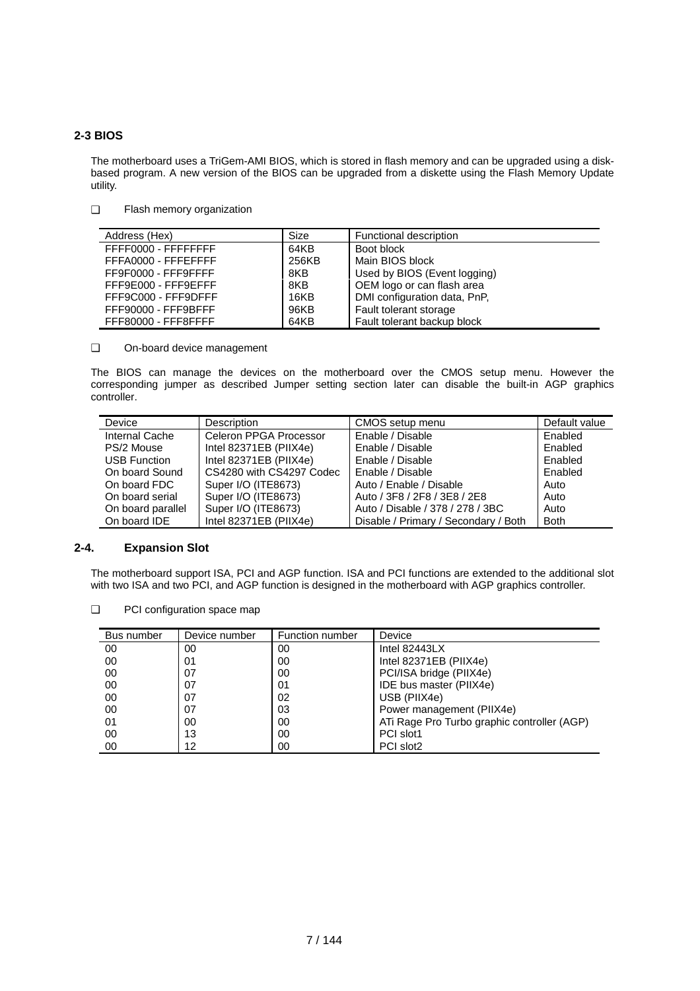### **2-3 BIOS**

The motherboard uses a TriGem-AMI BIOS, which is stored in flash memory and can be upgraded using a diskbased program. A new version of the BIOS can be upgraded from a diskette using the Flash Memory Update utility.

❑ Flash memory organization

| Address (Hex)       | Size  | Functional description       |
|---------------------|-------|------------------------------|
| FFFF0000 - FFFFFFFF | 64KB  | Boot block                   |
| FFFA0000 - FFFEFFFF | 256KB | Main BIOS block              |
| FF9F0000 - FFF9FFFF | 8KB   | Used by BIOS (Event logging) |
| FFF9E000 - FFF9EFFF | 8KB   | OEM logo or can flash area   |
| FFF9C000 - FFF9DFFF | 16KB  | DMI configuration data, PnP, |
| FFF90000 - FFF9BFFF | 96KB  | Fault tolerant storage       |
| FFF80000 - FFF8FFFF | 64KB  | Fault tolerant backup block  |

❑ On-board device management

The BIOS can manage the devices on the motherboard over the CMOS setup menu. However the corresponding jumper as described Jumper setting section later can disable the built-in AGP graphics controller.

| Device              | <b>Description</b>       | CMOS setup menu                      | Default value |
|---------------------|--------------------------|--------------------------------------|---------------|
| Internal Cache      | Celeron PPGA Processor   | Enable / Disable                     | Enabled       |
| PS/2 Mouse          | Intel 82371EB (PIIX4e)   | Enable / Disable                     | Enabled       |
| <b>USB Function</b> | Intel $82371EB$ (PIIX4e) | Enable / Disable                     | Enabled       |
| On board Sound      | CS4280 with CS4297 Codec | Enable / Disable                     | Enabled       |
| On board FDC        | Super I/O (ITE8673)      | Auto / Enable / Disable              | Auto          |
| On board serial     | Super I/O (ITE8673)      | Auto / 3F8 / 2F8 / 3E8 / 2E8         | Auto          |
| On board parallel   | Super I/O (ITE8673)      | Auto / Disable / 378 / 278 / 3BC     | Auto          |
| On board IDE        | Intel 82371EB (PIIX4e)   | Disable / Primary / Secondary / Both | <b>Both</b>   |

### **2-4. Expansion Slot**

The motherboard support ISA, PCI and AGP function. ISA and PCI functions are extended to the additional slot with two ISA and two PCI, and AGP function is designed in the motherboard with AGP graphics controller.

❑ PCI configuration space map

| Bus number | Device number | Function number | Device                                      |
|------------|---------------|-----------------|---------------------------------------------|
| 00         | 00            | 00              | Intel $82443LX$                             |
| 00         | 01            | 00              | Intel 82371EB (PIIX4e)                      |
| 00         | 07            | 00              | PCI/ISA bridge (PIIX4e)                     |
| 00         | 07            | 01              | IDE bus master (PIIX4e)                     |
| 00         | 07            | 02              | USB (PIIX4e)                                |
| 00         | 07            | 03              | Power management (PIIX4e)                   |
| 01         | 00            | 00              | ATi Rage Pro Turbo graphic controller (AGP) |
| 00         | 13            | 00              | PCI slot1                                   |
| 00         | 12            | 00              | PCI slot2                                   |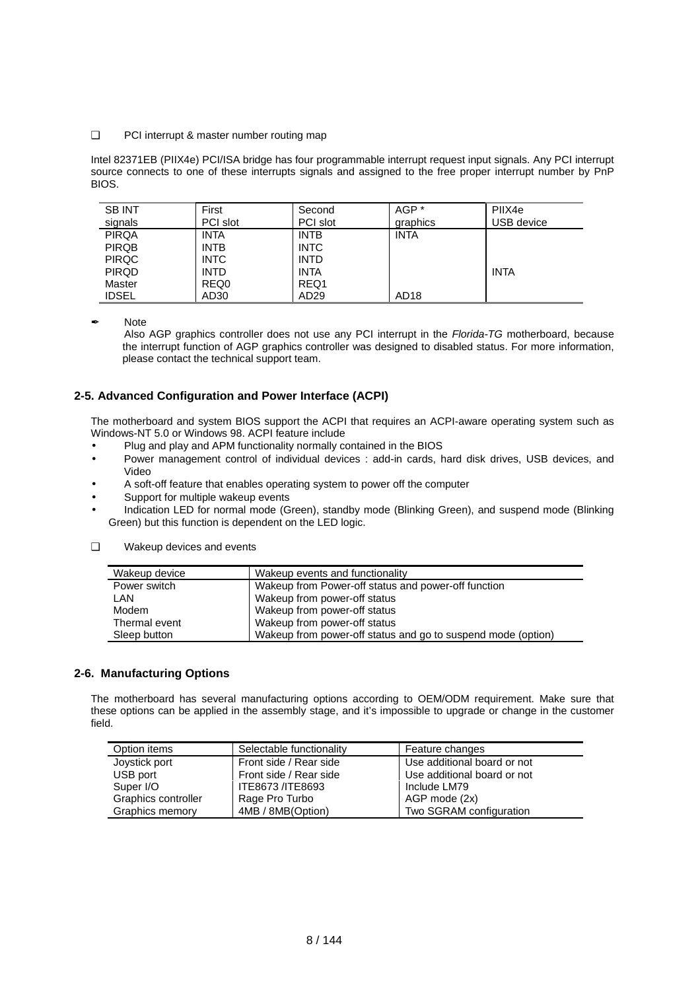#### ❑ PCI interrupt & master number routing map

Intel 82371EB (PIIX4e) PCI/ISA bridge has four programmable interrupt request input signals. Any PCI interrupt source connects to one of these interrupts signals and assigned to the free proper interrupt number by PnP BIOS.

| <b>SB INT</b><br>signals | First<br>PCI slot | Second<br>PCI slot | AGP *<br>graphics | PIIX4e<br>USB device |
|--------------------------|-------------------|--------------------|-------------------|----------------------|
| <b>PIRQA</b>             | <b>INTA</b>       | <b>INTB</b>        | <b>INTA</b>       |                      |
| <b>PIRQB</b>             | <b>INTB</b>       | <b>INTC</b>        |                   |                      |
| <b>PIRQC</b>             | <b>INTC</b>       | <b>INTD</b>        |                   |                      |
| <b>PIRQD</b>             | <b>INTD</b>       | <b>INTA</b>        |                   | <b>INTA</b>          |
| Master                   | REQ0              | REQ1               |                   |                      |
| <b>IDSEL</b>             | AD <sub>30</sub>  | AD <sub>29</sub>   | AD <sub>18</sub>  |                      |

✒ Note

Also AGP graphics controller does not use any PCI interrupt in the *Florida-TG* motherboard, because the interrupt function of AGP graphics controller was designed to disabled status. For more information, please contact the technical support team.

### **2-5. Advanced Configuration and Power Interface (ACPI)**

The motherboard and system BIOS support the ACPI that requires an ACPI-aware operating system such as Windows-NT 5.0 or Windows 98. ACPI feature include

- Plug and play and APM functionality normally contained in the BIOS
- Power management control of individual devices : add-in cards, hard disk drives, USB devices, and Video
- A soft-off feature that enables operating system to power off the computer
- Support for multiple wakeup events
- Indication LED for normal mode (Green), standby mode (Blinking Green), and suspend mode (Blinking Green) but this function is dependent on the LED logic.

| Wakeup device | Wakeup events and functionality                              |
|---------------|--------------------------------------------------------------|
| Power switch  | Wakeup from Power-off status and power-off function          |
| LAN           | Wakeup from power-off status                                 |
| Modem         | Wakeup from power-off status                                 |
| Thermal event | Wakeup from power-off status                                 |
| Sleep button  | Wakeup from power-off status and go to suspend mode (option) |

### ❑ Wakeup devices and events

#### **2-6. Manufacturing Options**

The motherboard has several manufacturing options according to OEM/ODM requirement. Make sure that these options can be applied in the assembly stage, and it's impossible to upgrade or change in the customer field.

| Option items        | Selectable functionality | Feature changes             |
|---------------------|--------------------------|-----------------------------|
| Joystick port       | Front side / Rear side   | Use additional board or not |
| USB port            | Front side / Rear side   | Use additional board or not |
| Super I/O           | ITE8673 /ITE8693         | Include LM79                |
| Graphics controller | Rage Pro Turbo           | AGP mode (2x)               |
| Graphics memory     | 4MB / 8MB(Option)        | Two SGRAM configuration     |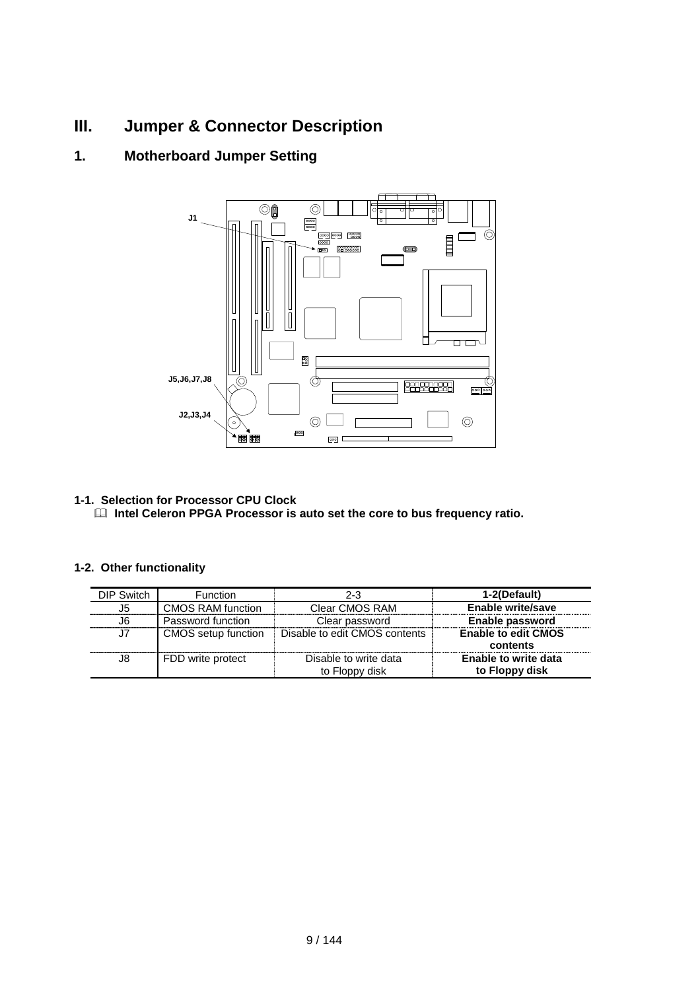# **III. Jumper & Connector Description**

# **1. Motherboard Jumper Setting**



### **1-1. Selection for Processor CPU Clock**

 $\Box$  Intel Celeron PPGA Processor is auto set the core to bus frequency ratio.

### **1-2. Other functionality**

| DIP Switch | <b>Function</b>     | 2-3                           | 1-2(Default)                |
|------------|---------------------|-------------------------------|-----------------------------|
| J5.        | CMOS RAM function   | Clear CMOS RAM                | <b>Enable write/save</b>    |
| J6.        | Password function   | Clear password                | Enable password             |
| J7         | CMOS setup function | Disable to edit CMOS contents | <b>Enable to edit CMOS</b>  |
|            |                     |                               | contents                    |
| J8         | FDD write protect   | Disable to write data         | <b>Enable to write data</b> |
|            |                     | to Floppy disk                | to Floppy disk              |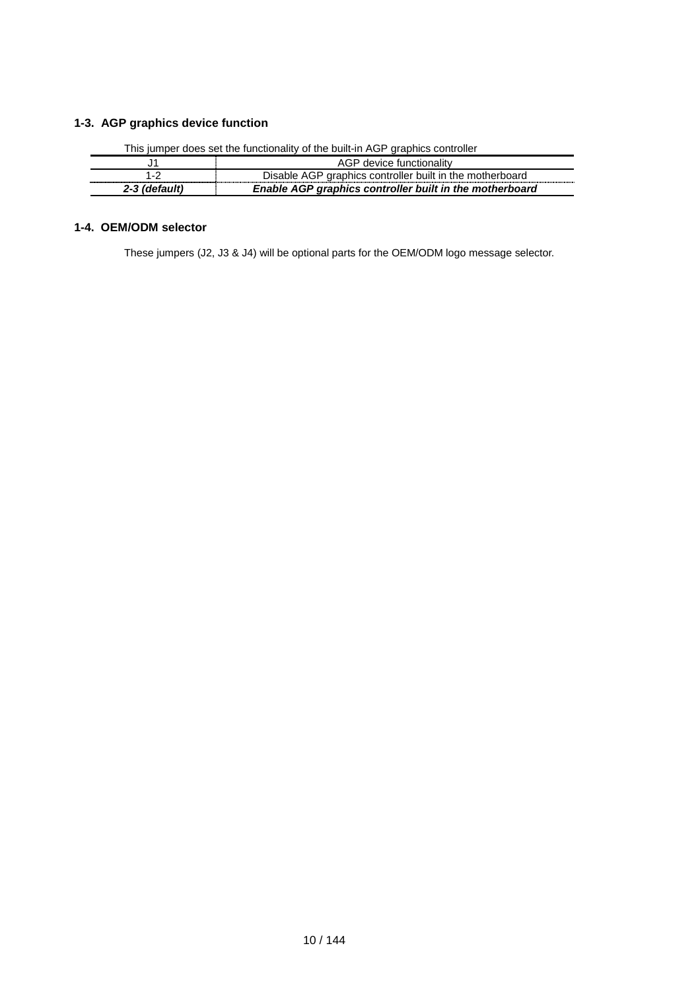### **1-3. AGP graphics device function**

|               | $\sim$ , $\sim$ , $\sim$ , $\sim$ , $\sim$ , $\sim$ , $\sim$ , $\sim$ , $\sim$ , $\sim$ , $\sim$ , $\sim$ , $\sim$ , $\sim$ , $\sim$ , $\sim$ , $\sim$ , $\sim$ , $\sim$ , $\sim$ , $\sim$ , $\sim$ , $\sim$ , $\sim$ , $\sim$ , $\sim$ , $\sim$ , $\sim$ , $\sim$ , $\sim$ , $\sim$ , $\sim$ |
|---------------|-----------------------------------------------------------------------------------------------------------------------------------------------------------------------------------------------------------------------------------------------------------------------------------------------|
|               | AGP device functionality                                                                                                                                                                                                                                                                      |
|               | Disable AGP graphics controller built in the motherboard                                                                                                                                                                                                                                      |
| 2-3 (default) | Enable AGP graphics controller built in the motherboard                                                                                                                                                                                                                                       |

This jumper does set the functionality of the built-in AGP graphics controller

### **1-4. OEM/ODM selector**

These jumpers (J2, J3 & J4) will be optional parts for the OEM/ODM logo message selector.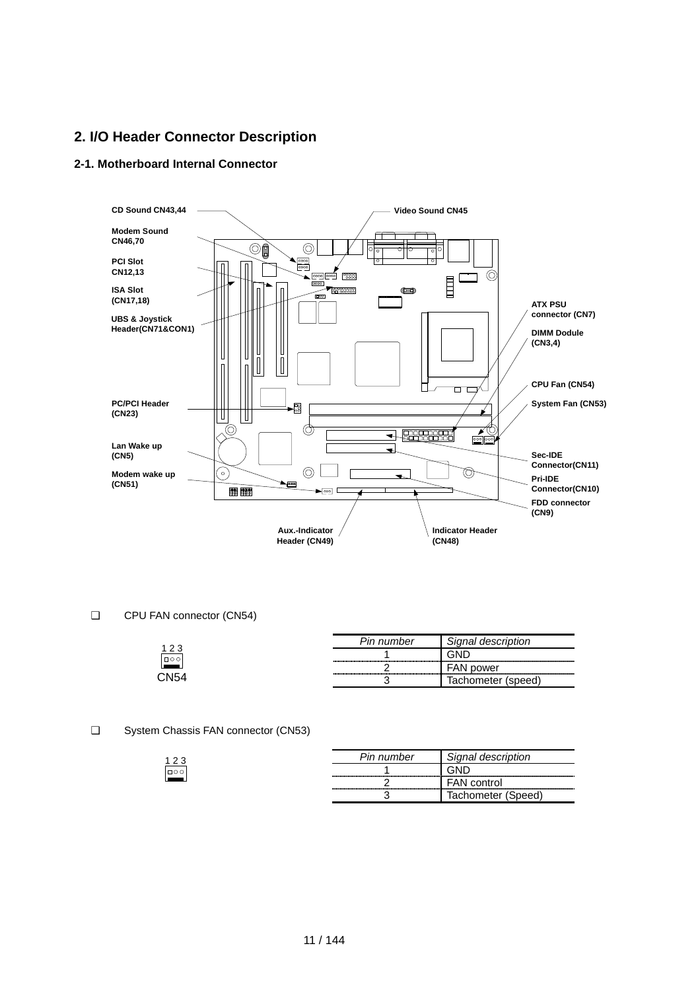## **2. I/O Header Connector Description**

### **2-1. Motherboard Internal Connector**



#### ❑ CPU FAN connector (CN54)

|           | Pin number                           | Signal description       |
|-----------|--------------------------------------|--------------------------|
| $\Box$ 00 | ,,,,,,,,,,,,,,,,,,,,,,,,,,,,,,,,,,   |                          |
|           | ,,,,,,,,,,,,,,,,,,,,,,,,,,,,,,,,,,,, | power                    |
| `.N⊼∠     |                                      | ıchometer<br>(speed<br>י |

### ❑ System Chassis FAN connector (CN53)

|        | Pin number | Signal description |
|--------|------------|--------------------|
| $\Box$ |            |                    |
|        |            | <b>FAN</b> control |
|        |            | Tachometer (Speed) |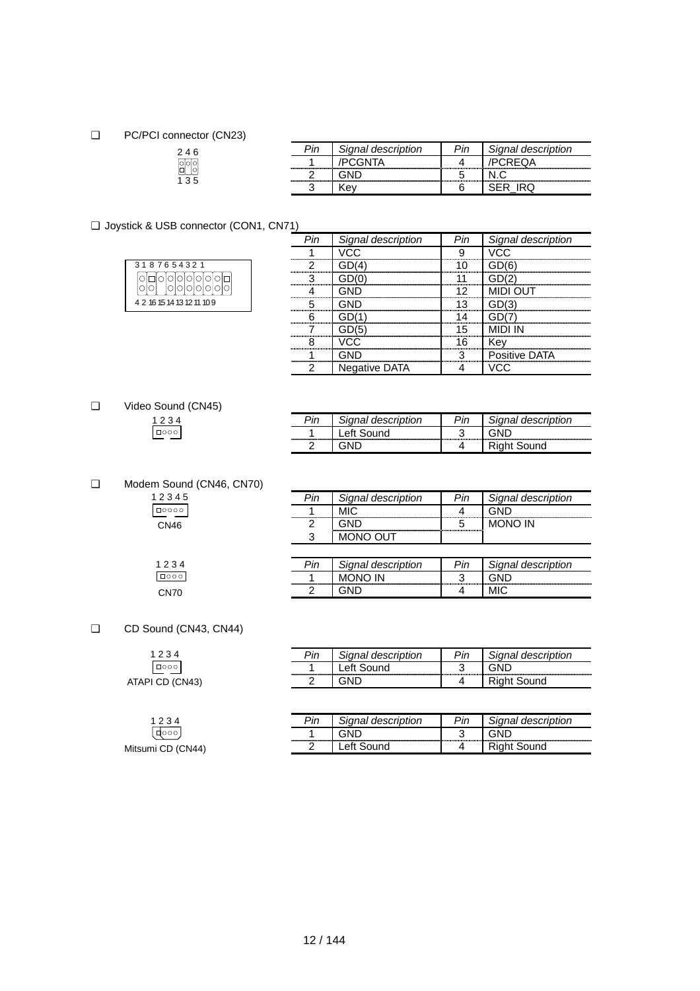### ❑ PC/PCI connector (CN23)

| 4 6<br>2 |  |
|----------|--|
| 90<br>미  |  |
|          |  |

| Pin. | Signal description | Signal description |
|------|--------------------|--------------------|
|      |                    |                    |
|      |                    |                    |
|      |                    |                    |

### ❑ Joystick & USB connector (CON1, CN71)

| 3187654321                 |                               |  |  |  |  |  |  |
|----------------------------|-------------------------------|--|--|--|--|--|--|
|                            | iolololololol<br>Iolololololo |  |  |  |  |  |  |
|                            |                               |  |  |  |  |  |  |
| 4 2 16 15 14 13 12 11 10 9 |                               |  |  |  |  |  |  |

|                               | ignal description`   | Signal description |
|-------------------------------|----------------------|--------------------|
|                               | -------------------- |                    |
| ,,,,,,,,,,,,,,,,,,,,,,,,,,,,, |                      |                    |
| ,,,,,,,,,,,,,,,,,,,,,,,,,,,   |                      |                    |
|                               |                      |                    |
| ,,,,,,,,,,,,,,,,,,,,,,,,,,,   | --------             |                    |
| ,,,,,,,,,,,,,,,,,,,,,,,,,,,   |                      |                    |
|                               |                      |                    |
|                               |                      |                    |
|                               |                      | tive.              |
|                               | iative DATA          |                    |

❑ Video Sound (CN45)  $\begin{array}{r} 1234 \\ \hline \text{1000} \end{array}$ 

| Pin | Signal description | in~ | `ignal description |
|-----|--------------------|-----|--------------------|
|     |                    |     |                    |
|     |                    |     | und                |

### ❑ Modem Sound (CN46, CN70)

| 12345 |  |
|-------|--|
| □○○○○ |  |
| CN46  |  |

| Pin | Signal description | Pin | Signal description |
|-----|--------------------|-----|--------------------|
|     | MIC.               |     |                    |
|     |                    |     | <b>MONO IN</b>     |
|     | <b>MONO OUT</b>    |     |                    |
|     |                    |     |                    |
|     |                    |     |                    |
| Pin | Signal description | Pin | Signal description |
|     | <b>MONO IN</b>     |     |                    |

### ❑ CD Sound (CN43, CN44)

 $1234$ Mitsumi CD (CN44)

 $1234$ CN70

| 1234            | Pin | Signal description     | Pin   | াgnal description |
|-----------------|-----|------------------------|-------|-------------------|
| □○○○            |     | <sub>-</sub> eft Sound | ⌒<br> | GND               |
| ATAPI CD (CN43) |     | GND                    | 4     | ıht Sound         |
|                 |     |                        |       |                   |

| הור.                                 | <i>ignal description</i>                                               | $\mathbf{a}$ | ignal description<br><b>Cinnal</b> |
|--------------------------------------|------------------------------------------------------------------------|--------------|------------------------------------|
| ------------------------------------ | -------------------------------<br>----------------------------------- |              | ,,,,,,,,,,,,,,,,,,,,,,,,,,,        |
|                                      |                                                                        |              |                                    |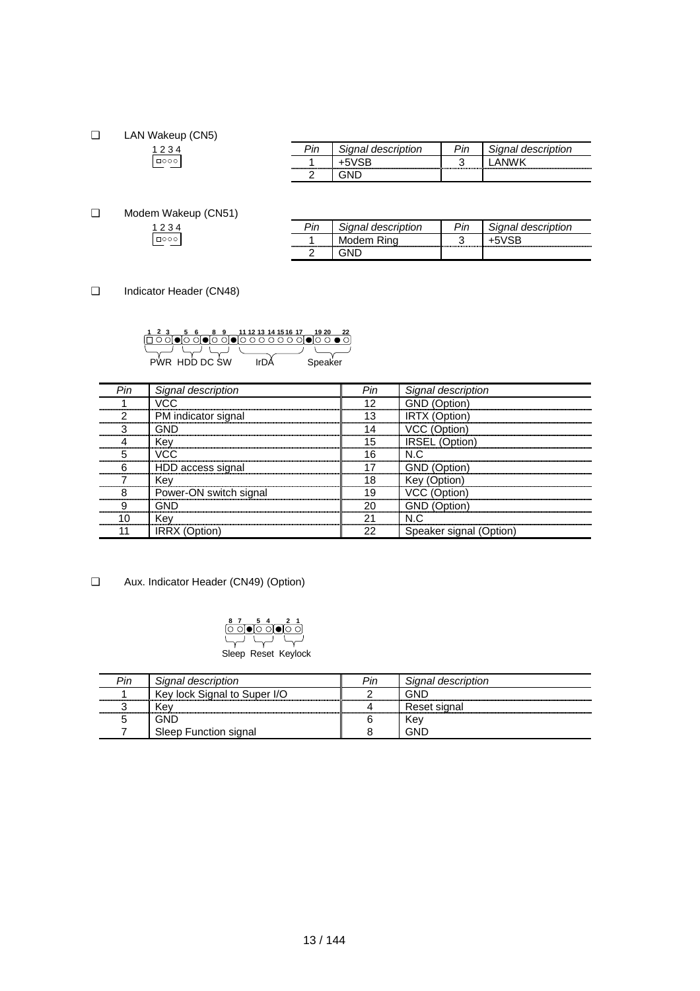❑ LAN Wakeup (CN5)

| nn<br>ueschpu |    | tion<br>uuuun. |
|---------------|----|----------------|
|               | ۰. |                |
|               |    |                |

❑ Modem Wakeup (CN51)  $1234$ 

|                                      | anal description                 | description |
|--------------------------------------|----------------------------------|-------------|
| ------------------------------------ | Modem R<br>--------------------- |             |
| ⌒                                    |                                  |             |

❑ Indicator Header (CN48)

|  |                                                                                                                                                                                                                                                                                                                                                                                                                                                                                                                                      |  |  |  |  | 11 12 13 14 15 16 17 |  |  |         |  |
|--|--------------------------------------------------------------------------------------------------------------------------------------------------------------------------------------------------------------------------------------------------------------------------------------------------------------------------------------------------------------------------------------------------------------------------------------------------------------------------------------------------------------------------------------|--|--|--|--|----------------------|--|--|---------|--|
|  | $\overline{0}\,\overline{0}\,\overline{0}\,\overline{0}\,\overline{0}\,\overline{0}\,\overline{0}\,\overline{0}\,\overline{0}\,\overline{0}\,\overline{0}\,\overline{0}\,\overline{0}\,\overline{0}\,\overline{0}\,\overline{0}\,\overline{0}\,\overline{0}\,\overline{0}\,\overline{0}\,\overline{0}\,\overline{0}\,\overline{0}\,\overline{0}\,\overline{0}\,\overline{0}\,\overline{0}\,\overline{0}\,\overline{0}\,\overline{0}\,\overline{0}\,\overline{0}\,\overline{0}\,\overline{0}\,\overline{0}\,\overline{0}\,\overline{$ |  |  |  |  |                      |  |  |         |  |
|  |                                                                                                                                                                                                                                                                                                                                                                                                                                                                                                                                      |  |  |  |  |                      |  |  |         |  |
|  | R HDD DC SW                                                                                                                                                                                                                                                                                                                                                                                                                                                                                                                          |  |  |  |  |                      |  |  | speaker |  |

| Pin | Signal description     | Pin | Signal description      |
|-----|------------------------|-----|-------------------------|
|     | VCC                    | 12  | (Ontion)                |
|     | PM indicator signal    | 13  | ∶ (Ontion)              |
|     | GND                    | 4   | (Option)                |
|     | Kev                    | 15  | <b>IRSEL</b> (Option)   |
|     | VCC.                   | 16  | N C                     |
| ⌒   | HDD access signal      |     | GND (Option)            |
|     | Kev                    | 18  | Kev                     |
|     | Power-ON switch signal | 19. |                         |
|     |                        | 20  | (Option)                |
|     | Kev                    | ົາ- |                         |
|     | <b>IRRX</b> (Option)   | 22  | Speaker signal (Option) |

❑ Aux. Indicator Header (CN49) (Option)



| Pin | Signal description           | Pin | Signal description |
|-----|------------------------------|-----|--------------------|
|     | Key lock Signal to Super I/O |     | GNL                |
|     | Kev                          |     | Reset signal       |
|     | GND                          |     | Kev                |
|     | Sleep Function signal        |     | GND                |